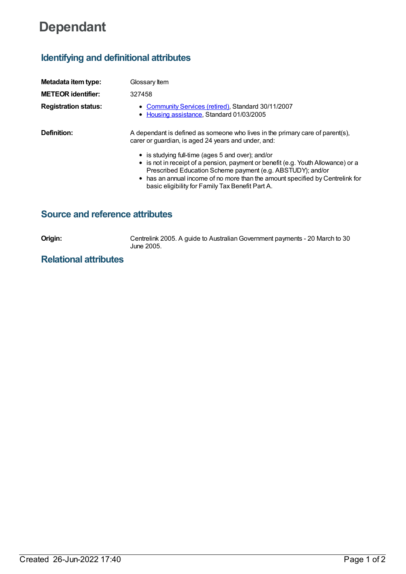# **Dependant**

## **Identifying and definitional attributes**

| Metadata item type:         | Glossary Item                                                                                                                                                                                                                                                                                                                            |
|-----------------------------|------------------------------------------------------------------------------------------------------------------------------------------------------------------------------------------------------------------------------------------------------------------------------------------------------------------------------------------|
| <b>METEOR</b> identifier:   | 327458                                                                                                                                                                                                                                                                                                                                   |
| <b>Registration status:</b> | • Community Services (retired), Standard 30/11/2007<br>• Housing assistance, Standard 01/03/2005                                                                                                                                                                                                                                         |
| Definition:                 | A dependant is defined as someone who lives in the primary care of parent(s),<br>carer or guardian, is aged 24 years and under, and:                                                                                                                                                                                                     |
|                             | • is studying full-time (ages 5 and over); and/or<br>• is not in receipt of a pension, payment or benefit (e.g. Youth Allowance) or a<br>Prescribed Education Scheme payment (e.g. ABSTUDY); and/or<br>• has an annual income of no more than the amount specified by Centrelink for<br>basic eligibility for Family Tax Benefit Part A. |

## **Source and reference attributes**

**Origin:** Centrelink 2005. A guide to Australian Government payments - 20 March to 30 June 2005.

## **Relational attributes**